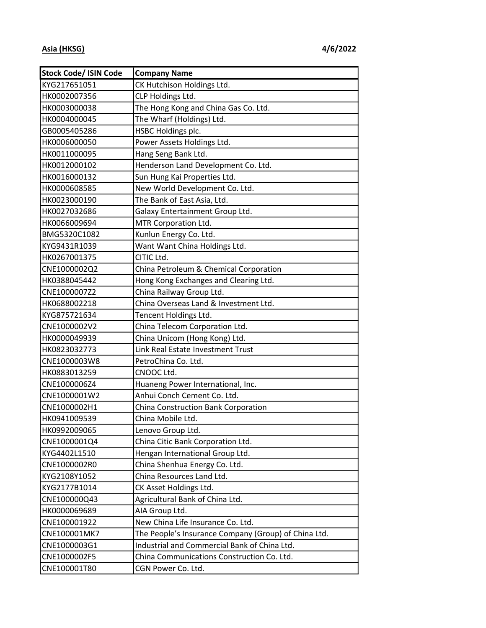| <b>Stock Code/ ISIN Code</b> | <b>Company Name</b>                                  |
|------------------------------|------------------------------------------------------|
| KYG217651051                 | CK Hutchison Holdings Ltd.                           |
| HK0002007356                 | CLP Holdings Ltd.                                    |
| HK0003000038                 | The Hong Kong and China Gas Co. Ltd.                 |
| HK0004000045                 | The Wharf (Holdings) Ltd.                            |
| GB0005405286                 | HSBC Holdings plc.                                   |
| HK0006000050                 | Power Assets Holdings Ltd.                           |
| HK0011000095                 | Hang Seng Bank Ltd.                                  |
| HK0012000102                 | Henderson Land Development Co. Ltd.                  |
| HK0016000132                 | Sun Hung Kai Properties Ltd.                         |
| HK0000608585                 | New World Development Co. Ltd.                       |
| HK0023000190                 | The Bank of East Asia, Ltd.                          |
| HK0027032686                 | Galaxy Entertainment Group Ltd.                      |
| HK0066009694                 | MTR Corporation Ltd.                                 |
| BMG5320C1082                 | Kunlun Energy Co. Ltd.                               |
| KYG9431R1039                 | Want Want China Holdings Ltd.                        |
| HK0267001375                 | CITIC Ltd.                                           |
| CNE1000002Q2                 | China Petroleum & Chemical Corporation               |
| HK0388045442                 | Hong Kong Exchanges and Clearing Ltd.                |
| CNE1000007Z2                 | China Railway Group Ltd.                             |
| HK0688002218                 | China Overseas Land & Investment Ltd.                |
| KYG875721634                 | Tencent Holdings Ltd.                                |
| CNE1000002V2                 | China Telecom Corporation Ltd.                       |
| HK0000049939                 | China Unicom (Hong Kong) Ltd.                        |
| HK0823032773                 | Link Real Estate Investment Trust                    |
| CNE1000003W8                 | PetroChina Co. Ltd.                                  |
| HK0883013259                 | CNOOC Ltd.                                           |
| CNE1000006Z4                 | Huaneng Power International, Inc.                    |
| CNE1000001W2                 | Anhui Conch Cement Co. Ltd.                          |
| CNE1000002H1                 | China Construction Bank Corporation                  |
| HK0941009539                 | China Mobile Ltd.                                    |
| HK0992009065                 | Lenovo Group Ltd.                                    |
| CNE1000001Q4                 | China Citic Bank Corporation Ltd.                    |
| KYG4402L1510                 | Hengan International Group Ltd.                      |
| CNE1000002R0                 | China Shenhua Energy Co. Ltd.                        |
| KYG2108Y1052                 | China Resources Land Ltd.                            |
| KYG2177B1014                 | CK Asset Holdings Ltd.                               |
| CNE100000Q43                 | Agricultural Bank of China Ltd.                      |
| HK0000069689                 | AIA Group Ltd.                                       |
| CNE100001922                 | New China Life Insurance Co. Ltd.                    |
| CNE100001MK7                 | The People's Insurance Company (Group) of China Ltd. |
| CNE1000003G1                 | Industrial and Commercial Bank of China Ltd.         |
| CNE1000002F5                 | China Communications Construction Co. Ltd.           |
| CNE100001T80                 | CGN Power Co. Ltd.                                   |